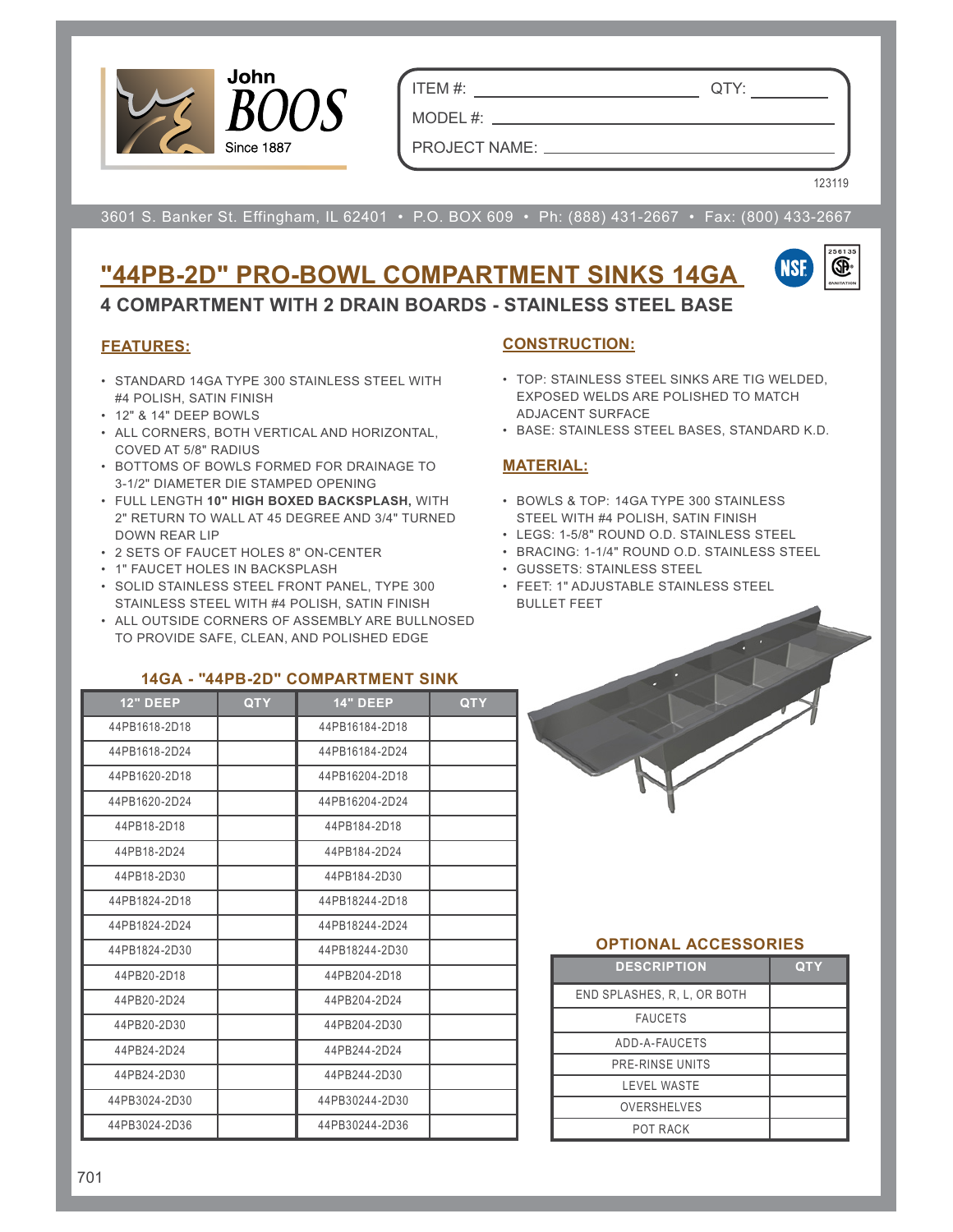

ITEM #: QTY:

PROJECT NAME:

MODEL #:

123119

3601 S. Banker St. Effingham, IL 62401 • P.O. BOX 609 • Ph: (888) 431-2667 • Fax: (800) 433-2667

# **"44PB-2D" PRO-BOWL COMPARTMENT SINKS 14GA**



**4 COMPARTMENT WITH 2 DRAIN BOARDS - STAINLESS STEEL BASE**

### **FEATURES:**

- STANDARD 14GA TYPE 300 STAINLESS STEEL WITH #4 POLISH, SATIN FINISH
- 12" & 14" DEEP BOWLS
- ALL CORNERS, BOTH VERTICAL AND HORIZONTAL, COVED AT 5/8" RADIUS
- BOTTOMS OF BOWLS FORMED FOR DRAINAGE TO 3-1/2" DIAMETER DIE STAMPED OPENING
- FULL LENGTH **10" HIGH BOXED BACKSPLASH,** WITH 2" RETURN TO WALL AT 45 DEGREE AND 3/4" TURNED DOWN REAR LIP
- 2 SETS OF FAUCET HOLES 8" ON-CENTER
- 1" FAUCET HOLES IN BACKSPLASH
- SOLID STAINLESS STEEL FRONT PANEL, TYPE 300 STAINLESS STEEL WITH #4 POLISH, SATIN FINISH
- ALL OUTSIDE CORNERS OF ASSEMBLY ARE BULLNOSED TO PROVIDE SAFE, CLEAN, AND POLISHED EDGE

### **14GA - "44PB-2D" COMPARTMENT SINK**

| <b>12" DEEP</b> | <b>QTY</b> | <b>14" DEEP</b> | <b>QTY</b> |
|-----------------|------------|-----------------|------------|
| 44PB1618-2D18   |            | 44PB16184-2D18  |            |
| 44PB1618-2D24   |            | 44PB16184-2D24  |            |
| 44PB1620-2D18   |            | 44PB16204-2D18  |            |
| 44PB1620-2D24   |            | 44PB16204-2D24  |            |
| 44PB18-2D18     |            | 44PB184-2D18    |            |
| 44PB18-2D24     |            | 44PB184-2D24    |            |
| 44PB18-2D30     |            | 44PB184-2D30    |            |
| 44PB1824-2D18   |            | 44PB18244-2D18  |            |
| 44PB1824-2D24   |            | 44PB18244-2D24  |            |
| 44PB1824-2D30   |            | 44PB18244-2D30  |            |
| 44PB20-2D18     |            | 44PB204-2D18    |            |
| 44PB20-2D24     |            | 44PB204-2D24    |            |
| 44PB20-2D30     |            | 44PB204-2D30    |            |
| 44PB24-2D24     |            | 44PB244-2D24    |            |
| 44PB24-2D30     |            | 44PB244-2D30    |            |
| 44PB3024-2D30   |            | 44PB30244-2D30  |            |
| 44PB3024-2D36   |            | 44PB30244-2D36  |            |

#### **CONSTRUCTION:**

- TOP: STAINLESS STEEL SINKS ARE TIG WELDED, EXPOSED WELDS ARE POLISHED TO MATCH ADJACENT SURFACE
- BASE: STAINLESS STEEL BASES, STANDARD K.D.

#### **MATERIAL:**

- BOWLS & TOP: 14GA TYPE 300 STAINLESS STEEL WITH #4 POLISH, SATIN FINISH
- LEGS: 1-5/8" ROUND O.D. STAINLESS STEEL
- BRACING: 1-1/4" ROUND O.D. STAINLESS STEEL
- GUSSETS: STAINLESS STEEL
- FEET: 1" ADJUSTABLE STAINLESS STEEL BULLET FEET

#### **OPTIONAL ACCESSORIES**

| <b>DESCRIPTION</b>          | 0TY |
|-----------------------------|-----|
| END SPLASHES, R. L. OR BOTH |     |
| <b>FAUCETS</b>              |     |
| ADD-A-FAUCETS               |     |
| PRE-RINSE UNITS             |     |
| <b>LEVEL WASTE</b>          |     |
| <b>OVERSHELVES</b>          |     |
| <b>POT RACK</b>             |     |